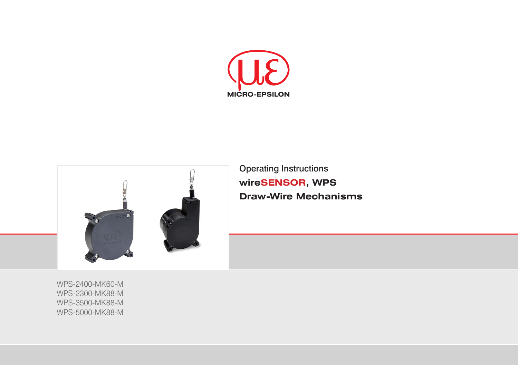



Operating Instructions **wireSENSOR, WPS Draw-Wire Mechanisms**

WPS-2400-MK60-M WPS-2300-MK88-M WPS-3500-MK88-M WPS-5000-MK88-M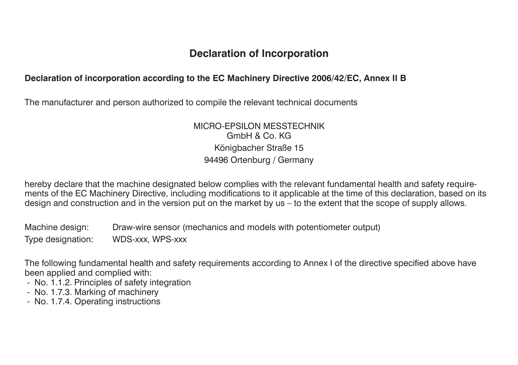## **Declaration of Incorporation**

### **Declaration of incorporation according to the EC Machinery Directive 2006/42/EC, Annex II B**

The manufacturer and person authorized to compile the relevant technical documents

MICRO-EPSILON MESSTECHNIK GmbH & Co. KG Königbacher Straße 15 94496 Ortenburg / Germany

hereby declare that the machine designated below complies with the relevant fundamental health and safety requirements of the EC Machinery Directive, including modifications to it applicable at the time of this declaration, based on its design and construction and in the version put on the market by us – to the extent that the scope of supply allows.

Machine design: Draw-wire sensor (mechanics and models with potentiometer output) Type designation: WDS-xxx, WPS-xxx

The following fundamental health and safety requirements according to Annex I of the directive specified above have been applied and complied with:

- No. 1.1.2. Principles of safety integration
- No. 1.7.3. Marking of machinery
- No. 1.7.4. Operating instructions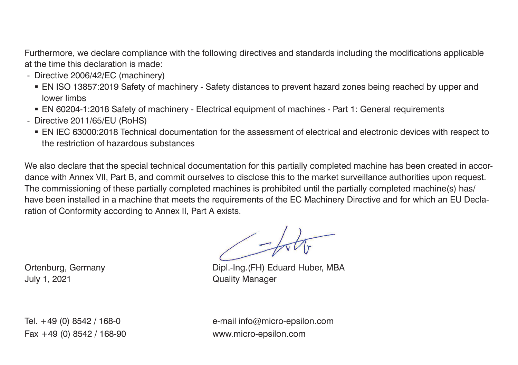Furthermore, we declare compliance with the following directives and standards including the modifications applicable at the time this declaration is made:

- Directive 2006/42/EC (machinery)
	- EN ISO 13857:2019 Safety of machinery Safety distances to prevent hazard zones being reached by upper and lower limbs
	- EN 60204-1:2018 Safety of machinery Electrical equipment of machines Part 1: General requirements
- Directive 2011/65/EU (RoHS)
	- EN IEC 63000:2018 Technical documentation for the assessment of electrical and electronic devices with respect to the restriction of hazardous substances

We also declare that the special technical documentation for this partially completed machine has been created in accordance with Annex VII, Part B, and commit ourselves to disclose this to the market surveillance authorities upon request. The commissioning of these partially completed machines is prohibited until the partially completed machine(s) has/ have been installed in a machine that meets the requirements of the EC Machinery Directive and for which an EU Declaration of Conformity according to Annex II, Part A exists.

 $\sqrt{-1}dt$ 

July 1, 2021 Quality Manager

Ortenburg, Germany Dipl.-Ing.(FH) Eduard Huber, MBA

Fax +49 (0) 8542 / 168-90 www.micro-epsilon.com

Tel. +49 (0) 8542 / 168-0 e-mail info@micro-epsilon.com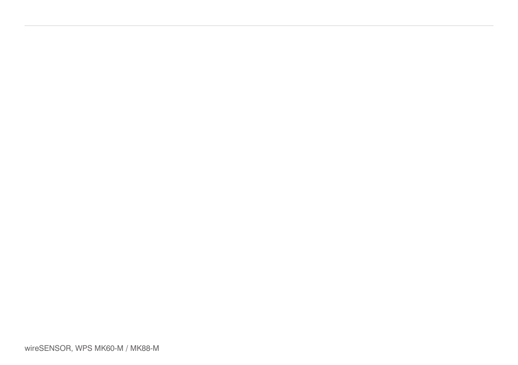wireSENSOR, WPS MK60-M / MK88-M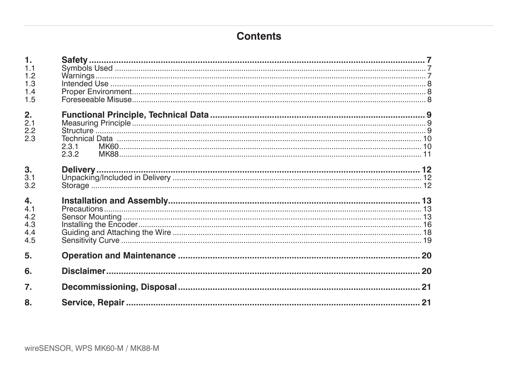## **Contents**

| $\mathbf{1}$ .   |       |    |
|------------------|-------|----|
| 1.1              |       |    |
| 1.2              |       |    |
| 1.3              |       |    |
| 1.4<br>1.5       |       |    |
|                  |       |    |
| 2.               |       |    |
| 2.1              |       |    |
| 2.2<br>2.3       |       |    |
|                  | 2.3.1 |    |
|                  | 2.3.2 |    |
|                  |       |    |
| 3.               |       |    |
| 3.1<br>3.2       |       |    |
|                  |       |    |
| 4.               |       |    |
| 4.1              |       |    |
| 4.2              |       |    |
| 4.3              |       |    |
| 4.4<br>4.5       |       |    |
|                  |       |    |
| 5.               |       |    |
| 6.               |       |    |
| $\overline{7}$ . |       |    |
| 8.               |       | 21 |
|                  |       |    |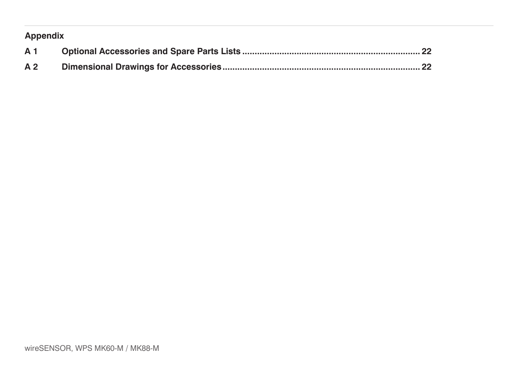| <b>Appendix</b> |  |
|-----------------|--|
| A <sub>1</sub>  |  |
| A <sub>2</sub>  |  |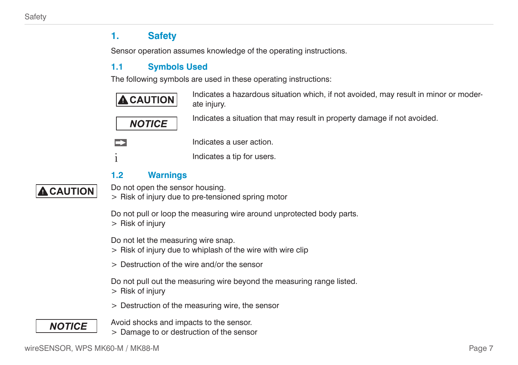## <span id="page-6-0"></span>**1. Safety**

Sensor operation assumes knowledge of the operating instructions.

### **1.1 Symbols Used**

The following symbols are used in these operating instructions:



Indicates a hazardous situation which, if not avoided, may result in minor or moderate injury.



Indicates a situation that may result in property damage if not avoided.



Indicates a user action.

 $\frac{1}{1}$  Indicates a tip for users.

### **1.2 Warnings**



Do not open the sensor housing.

> Risk of injury due to pre-tensioned spring motor

Do not pull or loop the measuring wire around unprotected body parts. > Risk of injury

Do not let the measuring wire snap.

> Risk of injury due to whiplash of the wire with wire clip

> Destruction of the wire and/or the sensor

Do not pull out the measuring wire beyond the measuring range listed.

- > Risk of injury
- > Destruction of the measuring wire, the sensor

# **NOTICE**

- Avoid shocks and impacts to the sensor.
- > Damage to or destruction of the sensor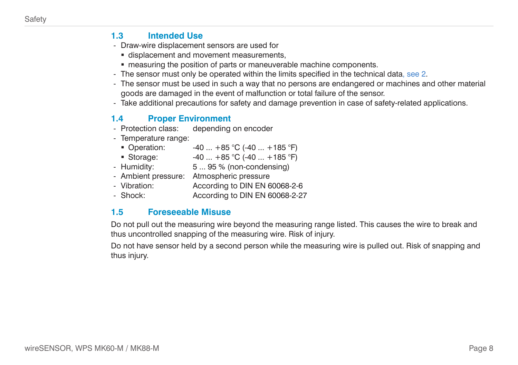### <span id="page-7-0"></span>**1.3 Intended Use**

- Draw-wire displacement sensors are used for
	- **displacement and movement measurements,**
	- measuring the position of parts or maneuverable machine components.
- The sensor must only be operated within the limits specified in the technical data[, see 2](#page-8-1).
- The sensor must be used in such a way that no persons are endangered or machines and other material goods are damaged in the event of malfunction or total failure of the sensor.
- Take additional precautions for safety and damage prevention in case of safety-related applications.

### **1.4 Proper Environment**

- Protection class: depending on encoder
- Temperature range:
- Operation:  $-40$  ...  $+85$  °C (-40 ...  $+185$  °F)
- Storage:  $-40 ... +85 °C (-40 ... +185 °F)$
- Humidity: 5 ... 95 % (non-condensing)
- Ambient pressure: Atmospheric pressure
- Vibration: According to DIN EN 60068-2-6
- Shock: According to DIN EN 60068-2-27

### **1.5 Foreseeable Misuse**

Do not pull out the measuring wire beyond the measuring range listed. This causes the wire to break and thus uncontrolled snapping of the measuring wire. Risk of injury.

Do not have sensor held by a second person while the measuring wire is pulled out. Risk of snapping and thus injury.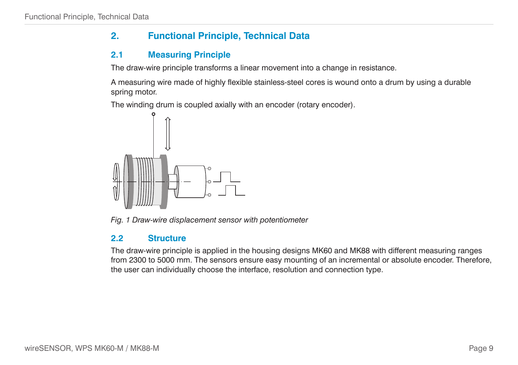## <span id="page-8-1"></span><span id="page-8-0"></span>**2. Functional Principle, Technical Data**

### **2.1 Measuring Principle**

The draw-wire principle transforms a linear movement into a change in resistance.

A measuring wire made of highly flexible stainless-steel cores is wound onto a drum by using a durable spring motor.

The winding drum is coupled axially with an encoder (rotary encoder).



*Fig. 1 Draw-wire displacement sensor with potentiometer*

### **2.2 Structure**

The draw-wire principle is applied in the housing designs MK60 and MK88 with different measuring ranges from 2300 to 5000 mm. The sensors ensure easy mounting of an incremental or absolute encoder. Therefore, the user can individually choose the interface, resolution and connection type.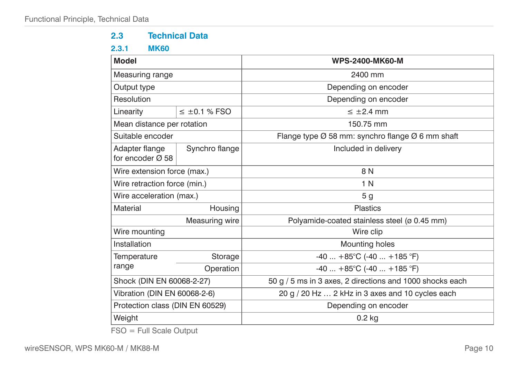### <span id="page-9-0"></span>**2.3 Technical Data**

### **2.3.1 MK60**

| <b>Model</b>                                   |                   | <b>WPS-2400-MK60-M</b>                                     |  |
|------------------------------------------------|-------------------|------------------------------------------------------------|--|
| Measuring range                                |                   | 2400 mm                                                    |  |
| Output type                                    |                   | Depending on encoder                                       |  |
| Resolution                                     |                   | Depending on encoder                                       |  |
| Linearity                                      | $\leq$ ±0.1 % FSO | $< +2.4$ mm                                                |  |
| Mean distance per rotation                     |                   | 150.75 mm                                                  |  |
| Suitable encoder                               |                   | Flange type Ø 58 mm: synchro flange Ø 6 mm shaft           |  |
| Adapter flange<br>for encoder $\varnothing$ 58 | Synchro flange    | Included in delivery                                       |  |
| Wire extension force (max.)                    |                   | 8 N                                                        |  |
| Wire retraction force (min.)                   |                   | 1 N                                                        |  |
| Wire acceleration (max.)                       |                   | 5 <sub>q</sub>                                             |  |
| Material                                       | Housing           | <b>Plastics</b>                                            |  |
|                                                | Measuring wire    | Polyamide-coated stainless steel (ø 0.45 mm)               |  |
| Wire mounting                                  |                   | Wire clip                                                  |  |
| Installation                                   |                   | Mounting holes                                             |  |
| Temperature                                    | Storage           | $-40$ $+85^{\circ}$ C (-40 $+185^{\circ}$ F)               |  |
| range                                          | Operation         | $-40$ $+85^{\circ}$ C (-40 $+185^{\circ}$ F)               |  |
| Shock (DIN EN 60068-2-27)                      |                   | 50 g / 5 ms in 3 axes, 2 directions and 1000 shocks each   |  |
| Vibration (DIN EN 60068-2-6)                   |                   | 20 g $/$ 20 Hz $\ldots$ 2 kHz in 3 axes and 10 cycles each |  |
| Protection class (DIN EN 60529)                |                   | Depending on encoder                                       |  |
| Weight                                         |                   | $0.2$ kg                                                   |  |
|                                                |                   |                                                            |  |

FSO = Full Scale Output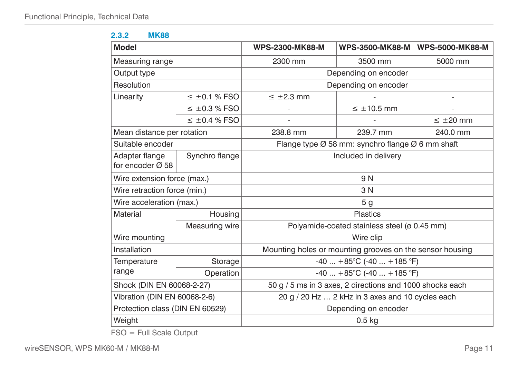#### <span id="page-10-0"></span>**2.3.2 MK88**

| <b>Model</b>                                   |                   | <b>WPS-2300-MK88-M</b>                                   | <b>WPS-3500-MK88-M</b>                          | <b>WPS-5000-MK88-M</b>   |
|------------------------------------------------|-------------------|----------------------------------------------------------|-------------------------------------------------|--------------------------|
| Measuring range                                |                   | 2300 mm                                                  | 3500 mm                                         | 5000 mm                  |
| Output type                                    |                   | Depending on encoder                                     |                                                 |                          |
| Resolution                                     |                   | Depending on encoder                                     |                                                 |                          |
| Linearity                                      | $\leq$ ±0.1 % FSO | $\leq \pm 2.3$ mm                                        |                                                 | $\overline{\phantom{a}}$ |
|                                                | $\leq$ ±0.3 % FSO |                                                          | $\leq \pm 10.5$ mm                              |                          |
|                                                | $\leq$ ±0.4 % FSO |                                                          |                                                 | $\leq \pm 20$ mm         |
| Mean distance per rotation                     |                   | 238.8 mm                                                 | 239.7 mm                                        | 240.0 mm                 |
| Suitable encoder                               |                   | Flange type Ø 58 mm: synchro flange Ø 6 mm shaft         |                                                 |                          |
| Adapter flange<br>for encoder $\varnothing$ 58 | Synchro flange    |                                                          | Included in delivery                            |                          |
| Wire extension force (max.)                    |                   | 9N                                                       |                                                 |                          |
| Wire retraction force (min.)                   |                   | 3 N                                                      |                                                 |                          |
| Wire acceleration (max.)                       |                   | 5 <sub>g</sub>                                           |                                                 |                          |
| Material<br>Housing                            |                   | <b>Plastics</b>                                          |                                                 |                          |
|                                                | Measuring wire    | Polyamide-coated stainless steel (ø 0.45 mm)             |                                                 |                          |
| Wire mounting                                  |                   | Wire clip                                                |                                                 |                          |
| Installation                                   |                   | Mounting holes or mounting grooves on the sensor housing |                                                 |                          |
| Temperature                                    | Storage           |                                                          | $-40$ $+85^{\circ}$ C ( $-40$ $+185^{\circ}$ F) |                          |
| range                                          | Operation         |                                                          | $-40$ $+85^{\circ}$ C (-40 $+185^{\circ}$ F)    |                          |
| Shock (DIN EN 60068-2-27)                      |                   | 50 g / 5 ms in 3 axes, 2 directions and 1000 shocks each |                                                 |                          |
| Vibration (DIN EN 60068-2-6)                   |                   | 20 g / 20 Hz  2 kHz in 3 axes and 10 cycles each         |                                                 |                          |
| Protection class (DIN EN 60529)                |                   | Depending on encoder                                     |                                                 |                          |
| Weight                                         |                   | $0.5$ kg                                                 |                                                 |                          |

FSO = Full Scale Output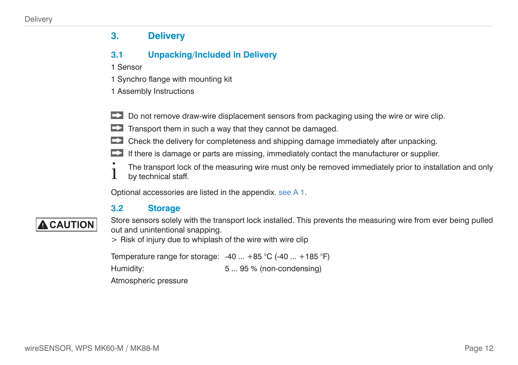### <span id="page-11-0"></span>**3. Delivery**

### **3.1 Unpacking/Included in Delivery**

1 Sensor

1 Synchro flange with mounting kit

1 Assembly Instructions

 $\Box$  Do not remove draw-wire displacement sensors from packaging using the wire or wire clip.

- $\Box$  Transport them in such a way that they cannot be damaged.
- $\rightarrow$ Check the delivery for completeness and shipping damage immediately after unpacking.
- $\Rightarrow$ If there is damage or parts are missing, immediately contact the manufacturer or supplier.
- The transport lock of the measuring wire must only be removed immediately prior to installation and only by technical staff.

Optional accessories are listed in the appendi[x, see A 1](#page-21-1).

### **3.2 Storage**



Store sensors solely with the transport lock installed. This prevents the measuring wire from ever being pulled out and unintentional snapping.

> Risk of injury due to whiplash of the wire with wire clip

Temperature range for storage:  $-40$  ...  $+85$  °C ( $-40$  ...  $+185$  °F) Humidity: 6 ... 95 % (non-condensing) Atmospheric pressure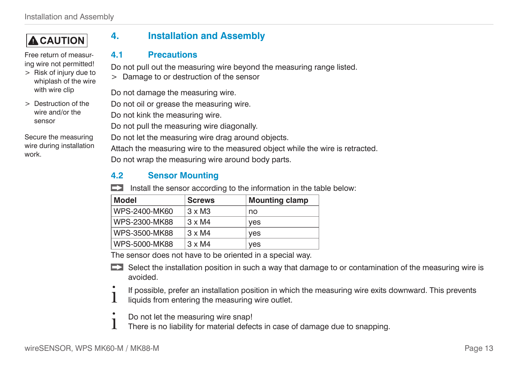# <span id="page-12-0"></span>**A** CAUTION

### Free return of measuring wire not permitted!

- > Risk of injury due to whiplash of the wire with wire clip
- > Destruction of the wire and/or the sensor

Secure the measuring wire during installation work.

## **4. Installation and Assembly**

### **4.1 Precautions**

Do not pull out the measuring wire beyond the measuring range listed.

> Damage to or destruction of the sensor

Do not damage the measuring wire.

Do not oil or grease the measuring wire.

Do not kink the measuring wire.

Do not pull the measuring wire diagonally.

Do not let the measuring wire drag around objects.

Attach the measuring wire to the measured object while the wire is retracted. Do not wrap the measuring wire around body parts.

## **4.2 Sensor Mounting**

 Install the sensor according to the information in the table below:  $\rightarrow$ 

| Model         | <b>Screws</b> | <b>Mounting clamp</b> |
|---------------|---------------|-----------------------|
| WPS-2400-MK60 | $3 \times M3$ | no                    |
| WPS-2300-MK88 | $3 \times M4$ | ves                   |
| WPS-3500-MK88 | $3 \times M4$ | ves                   |
| WPS-5000-MK88 | $3 \times M4$ | yes                   |

The sensor does not have to be oriented in a special way.

- $\blacktriangleright$  Select the installation position in such a way that damage to or contamination of the measuring wire is avoided.
- If possible, prefer an installation position in which the measuring wire exits downward. This prevents
- liquids from entering the measuring wire outlet.
- 
- **i** Do not let the measuring wire snap!<br>
There is no liability for material defects in case of damage due to snapping.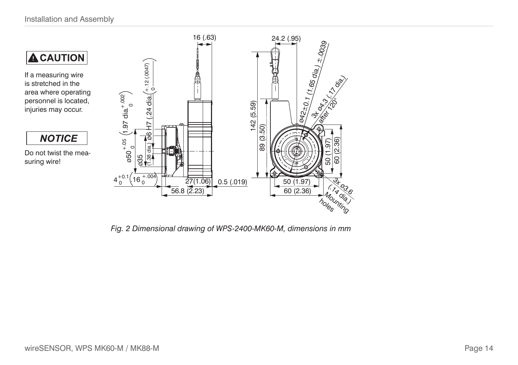

*Fig. 2 Dimensional drawing of WPS-2400-MK60-M, dimensions in mm*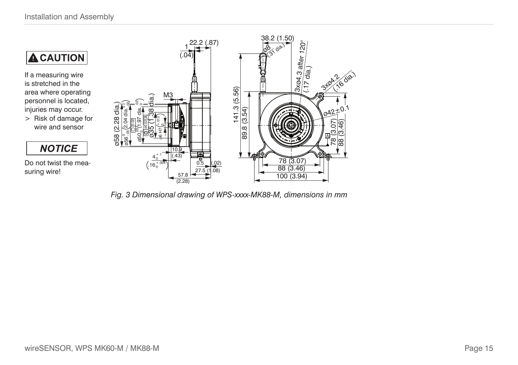

*Fig. 3 Dimensional drawing of WPS-xxxx-MK88-M, dimensions in mm*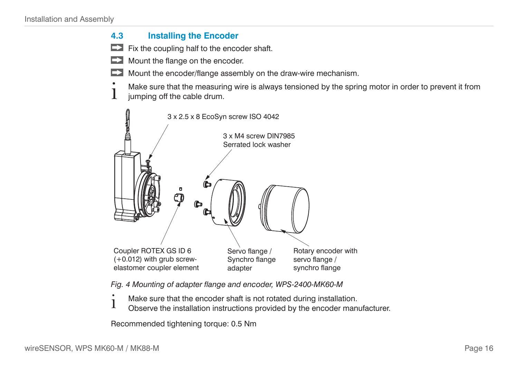### <span id="page-15-0"></span>**4.3 Installing the Encoder**

- $\rightarrow$ Fix the coupling half to the encoder shaft.
- Mount the flange on the encoder.
- Mount the encoder/flange assembly on the draw-wire mechanism.
- Make sure that the measuring wire is always tensioned by the spring motor in order to prevent it from
- jumping off the cable drum.



*Fig. 4 Mounting of adapter flange and encoder, WPS-2400-MK60-M*

- 
- $\,\dot{\rm i}$  Make sure that the encoder shaft is not rotated during installation.<br>Observe the installation instructions provided by the encoder manufacturer.

Recommended tightening torque: 0.5 Nm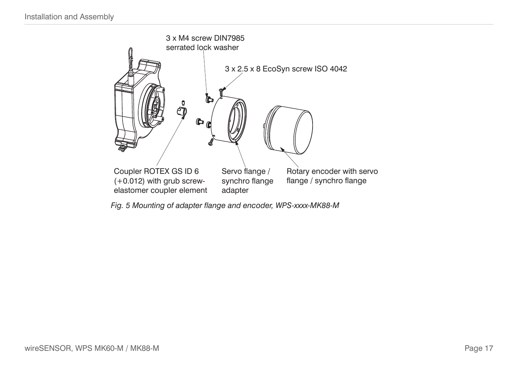

*Fig. 5 Mounting of adapter flange and encoder, WPS-xxxx-MK88-M*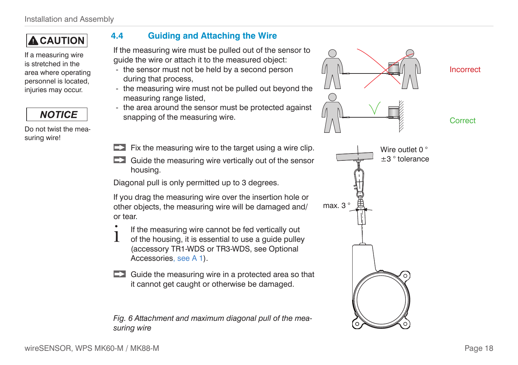# <span id="page-17-0"></span>**A** CAUTION

If a measuring wire is stretched in the area where operating personnel is located, injuries may occur.

# **NOTICE**

Do not twist the measuring wire!

## **4.4 Guiding and Attaching the Wire**

<span id="page-17-1"></span>If the measuring wire must be pulled out of the sensor to guide the wire or attach it to the measured object:

- the sensor must not be held by a second person during that process,
- the measuring wire must not be pulled out beyond the measuring range listed,
- the area around the sensor must be protected against snapping of the measuring wire.
- Fix the measuring wire to the target using a wire clip.
- $\Box$  Guide the measuring wire vertically out of the sensor housing.

Diagonal pull is only permitted up to 3 degrees.

If you drag the measuring wire over the insertion hole or other objects, the measuring wire will be damaged and/ or tear.

- 
- If the measuring wire cannot be fed vertically out of the housing, it is essential to use a guide pulley (accessory TR1-WDS or TR3-WDS, see Optional Accessories[, see A 1\)](#page-21-1).
- $\Box$  Guide the measuring wire in a protected area so that it cannot get caught or otherwise be damaged.

*Fig. 6 Attachment and maximum diagonal pull of the measuring wire*

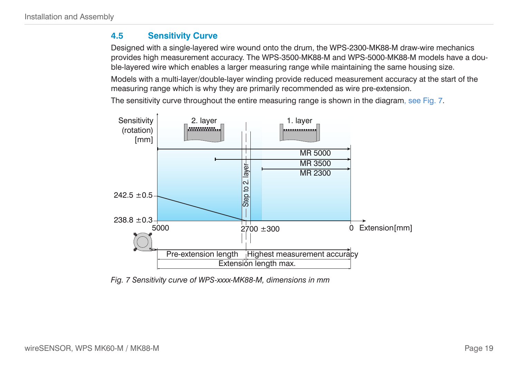### <span id="page-18-0"></span>**4.5 Sensitivity Curve**

Designed with a single-layered wire wound onto the drum, the WPS-2300-MK88-M draw-wire mechanics provides high measurement accuracy. The WPS-3500-MK88-M and WPS-5000-MK88-M models have a double-layered wire which enables a larger measuring range while maintaining the same housing size.

Models with a multi-layer/double-layer winding provide reduced measurement accuracy at the start of the measuring range which is why they are primarily recommended as wire pre-extension.

The sensitivity curve throughout the entire measuring range is shown in the diagra[m, see Fig. 7.](#page-18-1)



<span id="page-18-1"></span>*Fig. 7 Sensitivity curve of WPS-xxxx-MK88-M, dimensions in mm*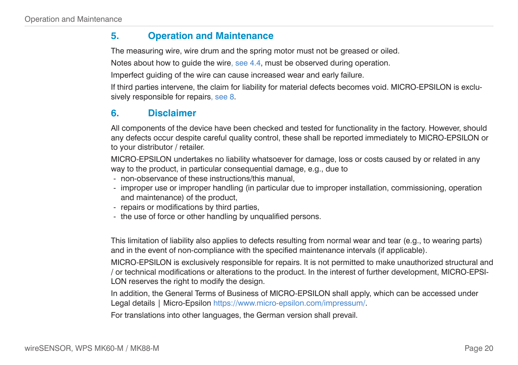### <span id="page-19-0"></span>**5. Operation and Maintenance**

The measuring wire, wire drum and the spring motor must not be greased or oiled.

Notes about how to guide the wire[, see 4.4,](#page-17-1) must be observed during operation.

Imperfect guiding of the wire can cause increased wear and early failure.

If third parties intervene, the claim for liability for material defects becomes void. MICRO-EPSILON is exclusively responsible for repair[s, see 8.](#page-20-1)

### **6. Disclaimer**

All components of the device have been checked and tested for functionality in the factory. However, should any defects occur despite careful quality control, these shall be reported immediately to MICRO-EPSILON or to your distributor / retailer.

MICRO-EPSILON undertakes no liability whatsoever for damage, loss or costs caused by or related in any way to the product, in particular consequential damage, e.g., due to

- non-observance of these instructions/this manual,
- improper use or improper handling (in particular due to improper installation, commissioning, operation and maintenance) of the product,
- repairs or modifications by third parties,
- the use of force or other handling by unqualified persons.

This limitation of liability also applies to defects resulting from normal wear and tear (e.g., to wearing parts) and in the event of non-compliance with the specified maintenance intervals (if applicable).

MICRO-EPSILON is exclusively responsible for repairs. It is not permitted to make unauthorized structural and / or technical modifications or alterations to the product. In the interest of further development, MICRO-EPSI-LON reserves the right to modify the design.

In addition, the General Terms of Business of MICRO-EPSILON shall apply, which can be accessed under Legal details | Micro-Epsilon [https://www.micro-epsilon.com/impressum/.](https://www.micro-epsilon.com/impressum/)

For translations into other languages, the German version shall prevail.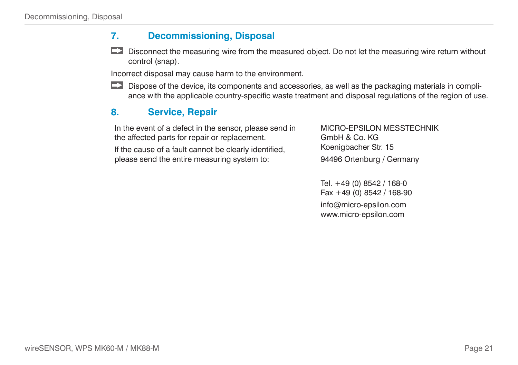### <span id="page-20-0"></span>**7. Decommissioning, Disposal**

Disconnect the measuring wire from the measured object. Do not let the measuring wire return without control (snap).

Incorrect disposal may cause harm to the environment.

 $\Box$  Dispose of the device, its components and accessories, as well as the packaging materials in compliance with the applicable country-specific waste treatment and disposal regulations of the region of use.

## **8. Service, Repair**

<span id="page-20-1"></span>In the event of a defect in the sensor, please send in the affected parts for repair or replacement.

If the cause of a fault cannot be clearly identified, please send the entire measuring system to:

MICRO-EPSILON MESSTECHNIK GmbH & Co. KG Koenigbacher Str. 15 94496 Ortenburg / Germany

Tel. +49 (0) 8542 / 168-0 Fax +49 (0) 8542 / 168-90

info@micro-epsilon.com www.micro-epsilon.com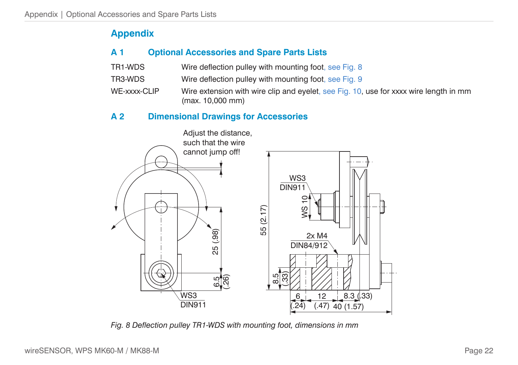## <span id="page-21-0"></span>**Appendix**

### <span id="page-21-1"></span>**A 1 Optional Accessories and Spare Parts Lists**

| TR1-WDS      | Wire deflection pulley with mounting foot, see Fig. 8                                                     |
|--------------|-----------------------------------------------------------------------------------------------------------|
| TR3-WDS      | Wire deflection pulley with mounting foot, see Fig. 9                                                     |
| WE-xxxx-CLIP | Wire extension with wire clip and eyelet, see Fig. 10, use for xxxx wire length in mm<br>(max. 10,000 mm) |

### **A 2 Dimensional Drawings for Accessories**



<span id="page-21-2"></span>*Fig. 8 Deflection pulley TR1-WDS with mounting foot, dimensions in mm*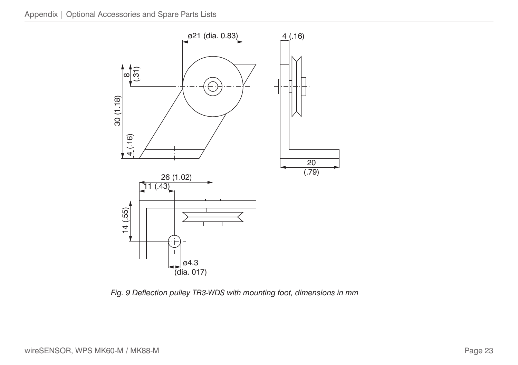

<span id="page-22-0"></span>*Fig. 9 Deflection pulley TR3-WDS with mounting foot, dimensions in mm*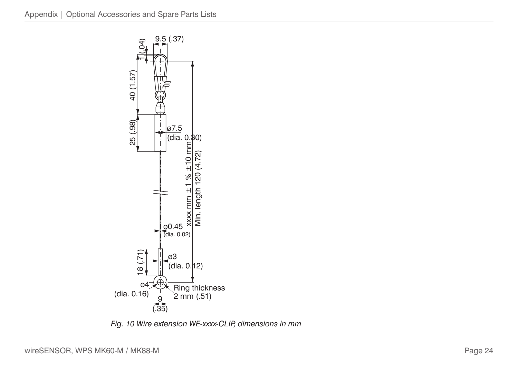

<span id="page-23-0"></span>*Fig. 10 Wire extension WE-xxxx-CLIP, dimensions in mm*